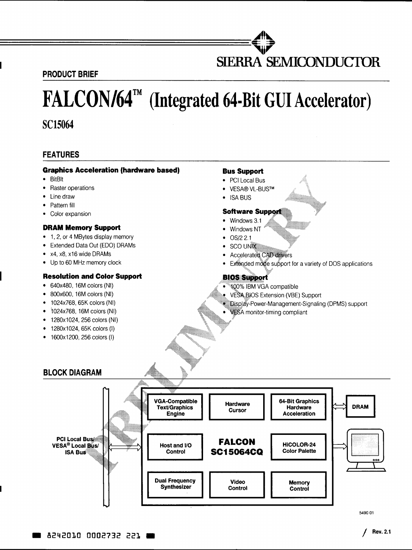**PRODUCT BRIEF** 

# **FALCON/64™ (Integrated 64·Bit GUIAccelerator)**

**SC15064** 

# **FEATURES**

#### **Graphics Acceleration (hardware based)**

**An .... ==============================''''** 

- BitBlt
- Raster operations
- Line draw
- Pattern fill
- Color expansion

#### **DRAM Memory Support**

- 1, 2, or 4 MBytes display memory
- Extended Data Out (EOO) DRAMs
- x4, x8, x16 wide DRAMs
- Up to 60 MHz memory clock

#### **Resolution and Color Support**

- 640x480, 16M colors (NI)
- 800x600, 16M colors (NI)
- 1024x768, 65K colors (NI)
- 1024x768, 16M colors (NI)
- 1280x1024, 256 colors (NI)
- 1280x1024, 65K colors (I)
- 1600x1200, 256 colors (I)

#### **Bus Support**

- PCI Local Bus
- VESA® VL-BUSTM
- ISA BUS

### **Software Support**

- Windows 3.1
- Windows NT
- $\bullet$  OS/2 2.1
- **SCO UNIX**
- **Accelerated CAD drivers**
- Extended mote support for a variety of DOS applications

**SIERRA SEMICONDUCIDR** 

# **BIOS Support**

- 400% IBM VGA compatible
- VESA.BIOS Extension (VBE) Support
- Display-Power-Management-Signaling (DPMS) support
- **VESA** monitor-timing compliant



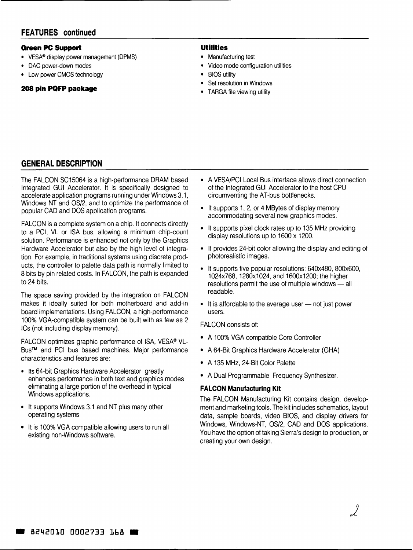#### **Green PC Support**

- VESA® display power management (DPMS)
- DAC power-down modes
- Low power CMOS technology

## **208 pin PQFP package**

#### **Utilities**

- Manufacturing test
- Video mode configuration utilities
- BIOS utility
- **Set resolution in Windows**
- TARGA file viewing utility

# **GENERAL DESCRIPTION**

The FALCON SC15064 is a high-performance DRAM based Integrated GUI Accelerator. It is specifically designed to accelerate application programs running under Windows 3.1, Windows NT and OS/2, and to optimize the performance of popular CAD and DOS application programs.

FALCON is a complete system on a chip. It connects directly to a PCI, VL or ISA bus, allowing a minimum chip-count solution. Performance is enhanced not only by the Graphics Hardware Accelerator but also by the high level of integration. For example, in traditional systems using discrete products, the controller to palette data path is normally limited to 8 bits by pin related costs. In FALCON, the path is expanded to 24 bits.

The space saving provided by the integration on FALCON makes it ideally suited for both motherboard and add-in board implementations. Using FALCON, a high-performance 100% VGA-compatible system can be built with as few as 2 ICs (not including display memory).

FALCON optimizes graphic performance of ISA, VESA® VL-Bus™ and PCI bus based machines. Major performance characteristics and features are:

- Its 64-bit Graphics Hardware Accelerator greatly enhances performance in both text and graphics modes eliminating a large portion of the overhead in typical Windows applications.
- It supports Windows 3.1 and NT plus many other operating systems
- It is 100% VGA compatible allowing users to run all existing non-Windows software.
- A VESA/PCI Local Bus interface allows direct connection of the Integrated GUI Accelerator to the host CPU circumventing the AT-bus bottlenecks.
- It supports 1, 2, or 4 MBytes of display memory accommodating several new graphics modes.
- It supports pixel clock rates up to 135 MHz providing display resolutions up to 1600 x 1200.
- It provides 24-bit color allowing the display and editing of photorealistic images.
- It supports five popular resolutions: 640x480, 800x600, 1024x768, 1280x1024, and 1600x1200; the higher resolutions permit the use of multiple windows - all readable.
- $\bullet$  It is affordable to the average user  $-$  not just power users.

FALCON consists of:

- A 100% VGA compatible Core Controller
- A 64-Bit Graphics Hardware Accelerator (GHA)
- A 135 MHz, 24-Bit Color Palette
- A Dual Programmable Frequency Synthesizer.

#### **FALCON Manufacturing Kit**

The FALCON Manufacturing Kit contains design, development and marketing tools. The kit includes schematics, layout data, sample boards, video BIOS, and display drivers for Windows, Windows-NT, OS/2, CAD and DOS applications. You have the option of taking Sierra's design to production, or creating your own design.

)<br>)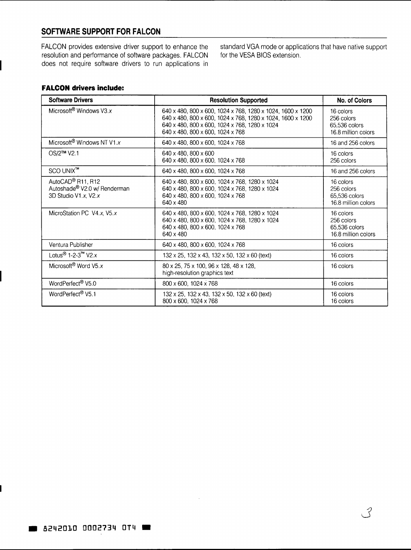# **SOFTWARE SUPPORT FOR FALCON**

**FALCON** provides extensive driver support to enhance the resolution and performance of software packages. **FALCON**  does not require software drivers to run applications in standard VGA mode or applications that have native support for the VESA BIOS extension.

## **FALCON drivers include:**

| <b>Software Drivers</b>                                                                 | <b>Resolution Supported</b>                                                                                                                                                                                   | No. of Colors                                                   |
|-----------------------------------------------------------------------------------------|---------------------------------------------------------------------------------------------------------------------------------------------------------------------------------------------------------------|-----------------------------------------------------------------|
| Microsoft <sup>®</sup> Windows V3.x                                                     | 640 x 480, 800 x 600, 1024 x 768, 1280 x 1024, 1600 x 1200<br>640 x 480, 800 x 600, 1024 x 768, 1280 x 1024, 1600 x 1200<br>640 x 480, 800 x 600, 1024 x 768, 1280 x 1024<br>640 x 480, 800 x 600, 1024 x 768 | 16 colors<br>256 colors<br>65,536 colors<br>16.8 million colors |
| Microsoft® Windows NT V1.x                                                              | 640 x 480, 800 x 600, 1024 x 768                                                                                                                                                                              | 16 and 256 colors                                               |
| OS/2™ V2.1                                                                              | 640 x 480, 800 x 600<br>640 x 480, 800 x 600, 1024 x 768                                                                                                                                                      | 16 colors<br>256 colors                                         |
| SCO UNIX™                                                                               | 640 x 480, 800 x 600, 1024 x 768                                                                                                                                                                              | 16 and 256 colors                                               |
| AutoCAD <sup>®</sup> R11, R12<br>Autoshade® V2.0 w/ Renderman<br>3D Studio V1.x. $V2.x$ | 640 x 480, 800 x 600, 1024 x 768, 1280 x 1024<br>640 x 480, 800 x 600, 1024 x 768, 1280 x 1024<br>640 x 480, 800 x 600, 1024 x 768<br>640 x 480                                                               | 16 colors<br>256 colors<br>65,536 colors<br>16.8 million colors |
| MicroStation PC V4.x, V5.x                                                              | 640 x 480, 800 x 600, 1024 x 768, 1280 x 1024<br>640 x 480, 800 x 600, 1024 x 768, 1280 x 1024<br>640 x 480, 800 x 600, 1024 x 768<br>640 x 480                                                               | 16 colors<br>256 colors<br>65.536 colors<br>16.8 million colors |
| Ventura Publisher                                                                       | 640 x 480, 800 x 600, 1024 x 768                                                                                                                                                                              | 16 colors                                                       |
| Lotus <sup>®</sup> 1-2-3 <sup>™</sup> V2.x                                              | $132 \times 25$ , $132 \times 43$ , $132 \times 50$ , $132 \times 60$ (text)                                                                                                                                  | 16 colors                                                       |
| Microsoft <sup>®</sup> Word V5.x                                                        | 80 x 25, 75 x 100, 96 x 128, 48 x 128,<br>high-resolution graphics text                                                                                                                                       | 16 colors                                                       |
| WordPerfect <sup>®</sup> V5.0                                                           | 800 x 600, 1024 x 768                                                                                                                                                                                         | 16 colors                                                       |
| WordPerfect <sup>®</sup> V5.1                                                           | 132 x 25, 132 x 43, 132 x 50, 132 x 60 (text)<br>800 x 600, 1024 x 768                                                                                                                                        | 16 colors<br>16 colors                                          |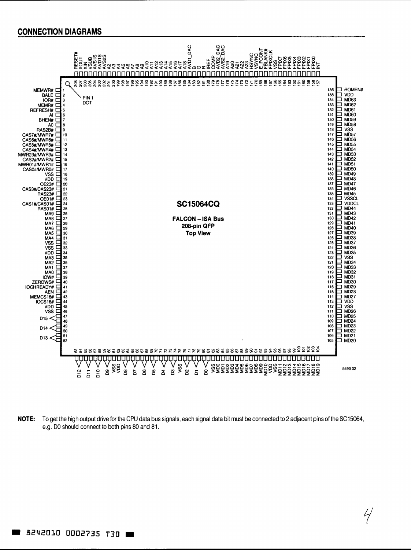

**NOTE:** To get the high output drive for the CPU data bus signals, each signal data bit must be connected to 2 adjacent pins of the SC15064, e.g. DO should connect to both pins 80 and 81.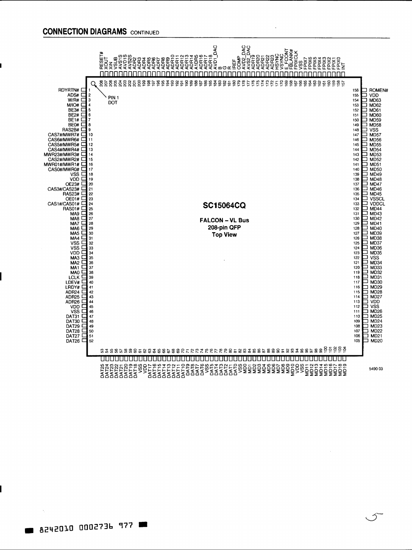# **CONNECTION DIAGRAMS** CONTINUED



 $\hat{2}$